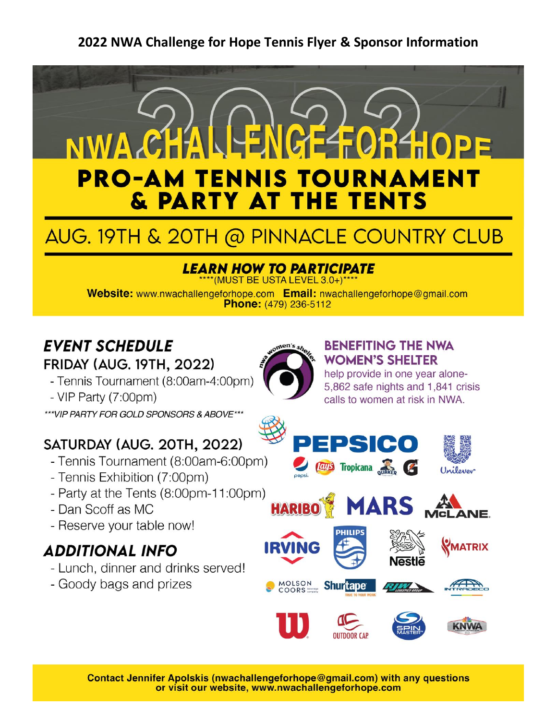

# AUG. 19TH & 20TH @ PINNACLE COUNTRY CLUB

# **LEARN HOW TO PARTICIPATE**

\*(MUST BE USTA LEVEL 3.0+)\*\*\*

Website: www.nwachallengeforhope.com Email: nwachallengeforhope@gmail.com Phone: (479) 236-5112

# **EVENT SCHEDULE FRIDAY (AUG. 19TH, 2022)**

- Tennis Tournament (8:00am-4:00pm)

-  $VIP$  Party  $(7:00pm)$ 

\*\*\*VIP PARTY FOR GOLD SPONSORS & ABOVE\*\*\*

# SATURDAY (AUG. 20TH, 2022)

- Tennis Tournament (8:00am-6:00pm)
- Tennis Exhibition (7:00pm)
- Party at the Tents (8:00pm-11:00pm)
- Dan Scoff as MC
- Reserve your table now!

# **ADDITIONAL INFO**

- Lunch, dinner and drinks served!
- Goody bags and prizes



### **BENEFITING THE NWA WOMEN'S SHELTER**

help provide in one year alone-5.862 safe nights and 1.841 crisis calls to women at risk in NWA.









MOLSON<br>COORS

**HARIBO** 



**Shurtape** 









Contact Jennifer Apolskis (nwachallengeforhope@gmail.com) with any questions or visit our website, www.nwachallengeforhope.com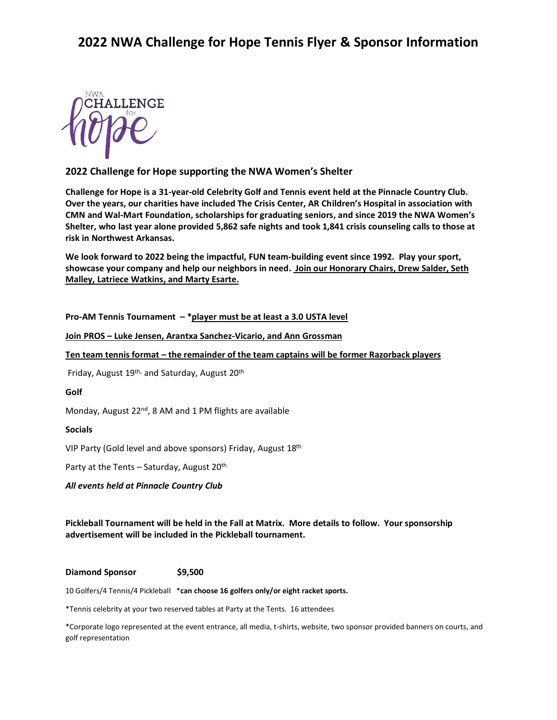

#### **2022 Challenge for Hope supporting the NWA Women's Shelter**

**Challenge for Hope is a 31-year-old Celebrity Golf and Tennis event held at the Pinnacle Country Club. Over the years, our charities have included The Crisis Center, AR Children's Hospital in association with CMN and Wal-Mart Foundation, scholarships for graduating seniors, and since 2019 the NWA Women's Shelter, who last year alone provided 5,862 safe nights and took 1,841 crisis counseling calls to those at risk in Northwest Arkansas.**

**We look forward to 2022 being the impactful, FUN team-building event since 1992. Play your sport, showcase your company and help our neighbors in need. Join our Honorary Chairs, Drew Salder, Seth Malley, Latriece Watkins, and Marty Esarte.**

**Pro-AM Tennis Tournament – \*player must be at least a 3.0 USTA level**

**Join PROS – Luke Jensen, Arantxa Sanchez-Vicario, and Ann Grossman**

**Ten team tennis format – the remainder of the team captains will be former Razorback players**

Friday, August 19<sup>th,</sup> and Saturday, August 20<sup>th</sup>

#### **Golf**

Monday, August 22<sup>nd</sup>, 8 AM and 1 PM flights are available

#### **Socials**

VIP Party (Gold level and above sponsors) Friday, August 18th

Party at the Tents – Saturday, August 20<sup>th</sup>

*All events held at Pinnacle Country Club*

**Pickleball Tournament will be held in the Fall at Matrix. More details to follow. Your sponsorship advertisement will be included in the Pickleball tournament.** 

#### **Diamond Sponsor \$9,500**

10 Golfers/4 Tennis/4 Pickleball \***can choose 16 golfers only/or eight racket sports.** 

\*Tennis celebrity at your two reserved tables at Party at the Tents. 16 attendees

\*Corporate logo represented at the event entrance, all media, t-shirts, website, two sponsor provided banners on courts, and golf representation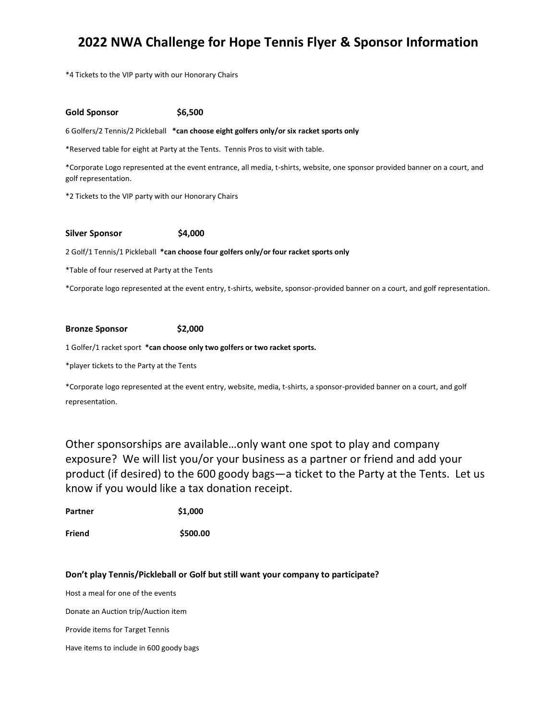\*4 Tickets to the VIP party with our Honorary Chairs

#### **Gold Sponsor \$6,500**

6 Golfers/2 Tennis/2 Pickleball **\*can choose eight golfers only/or six racket sports only**

\*Reserved table for eight at Party at the Tents. Tennis Pros to visit with table.

\*Corporate Logo represented at the event entrance, all media, t-shirts, website, one sponsor provided banner on a court, and golf representation.

\*2 Tickets to the VIP party with our Honorary Chairs

#### **Silver Sponsor \$4,000**

2 Golf/1 Tennis/1 Pickleball **\*can choose four golfers only/or four racket sports only**

\*Table of four reserved at Party at the Tents

\*Corporate logo represented at the event entry, t-shirts, website, sponsor-provided banner on a court, and golf representation.

#### **Bronze Sponsor \$2,000**

1 Golfer/1 racket sport **\*can choose only two golfers or two racket sports.**

\*player tickets to the Party at the Tents

\*Corporate logo represented at the event entry, website, media, t-shirts, a sponsor-provided banner on a court, and golf representation.

Other sponsorships are available…only want one spot to play and company exposure? We will list you/or your business as a partner or friend and add your product (if desired) to the 600 goody bags—a ticket to the Party at the Tents. Let us know if you would like a tax donation receipt.

| Partner | \$1,000 |
|---------|---------|
|---------|---------|

**Friend \$500.00**

#### **Don't play Tennis/Pickleball or Golf but still want your company to participate?**

Host a meal for one of the events

Donate an Auction trip/Auction item

Provide items for Target Tennis

Have items to include in 600 goody bags